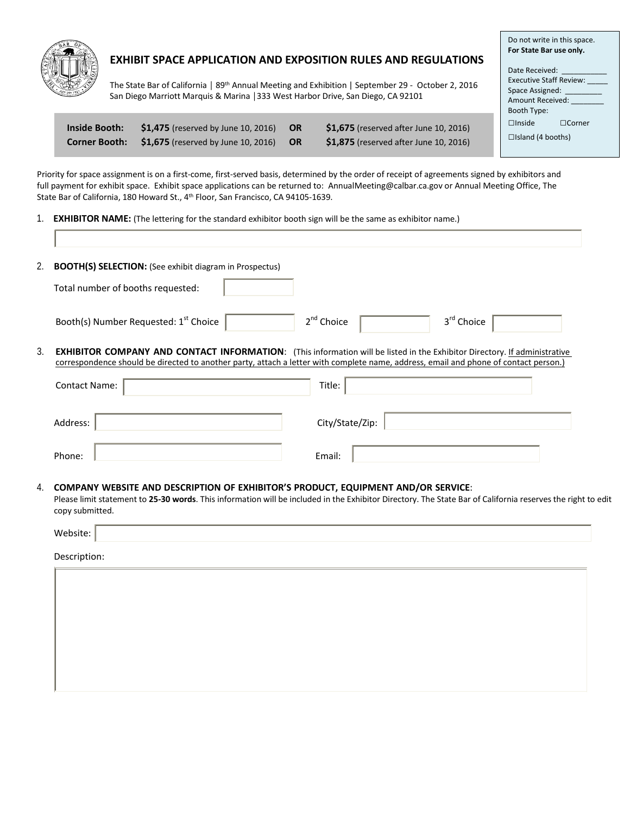

# **EXHIBIT SPACE APPLICATION AND EXPOSITION RULES AND REGULATIONS**

Do not write in this space. **For State Bar use only.**

□Inside □Corner □Island (4 booths)

Date Received: Executive Staff Review: Space Assigned: \_\_\_\_\_\_\_\_\_ Amount Received: Booth Type:

The State Bar of California | 89<sup>th</sup> Annual Meeting and Exhibition | September 29 - October 2, 2016 San Diego Marriott Marquis & Marina │333 West Harbor Drive, San Diego, CA 92101

| <b>Inside Booth:</b> | $\$1,475$ (reserved by June 10, 2016)             | <b>OR</b> | <b>\$1.675</b> (reserved after June 10, 2016) |
|----------------------|---------------------------------------------------|-----------|-----------------------------------------------|
|                      | Corner Booth: \$1,675 (reserved by June 10, 2016) | – OR      | \$1,875 (reserved after June 10, 2016)        |

Priority for space assignment is on a first-come, first-served basis, determined by the order of receipt of agreements signed by exhibitors and full payment for exhibit space. Exhibit space applications can be returned to: AnnualMeeting@calbar.ca.gov or Annual Meeting Office, The State Bar of California, 180 Howard St., 4th Floor, San Francisco, CA 94105-1639.

1. **EXHIBITOR NAME:** (The lettering for the standard exhibitor booth sign will be the same as exhibitor name.)

| 2. | <b>BOOTH(S) SELECTION:</b> (See exhibit diagram in Prospectus)                                                                       |                                                                                                                                  |
|----|--------------------------------------------------------------------------------------------------------------------------------------|----------------------------------------------------------------------------------------------------------------------------------|
|    | Total number of booths requested:                                                                                                    |                                                                                                                                  |
|    | Booth(s) Number Requested: 1 <sup>st</sup> Choice                                                                                    | 2 <sup>nd</sup> Choice<br>3 <sup>rd</sup> Choice                                                                                 |
| 3. | correspondence should be directed to another party, attach a letter with complete name, address, email and phone of contact person.) | <b>EXHIBITOR COMPANY AND CONTACT INFORMATION:</b> (This information will be listed in the Exhibitor Directory. If administrative |
|    | <b>Contact Name:</b>                                                                                                                 | Title:                                                                                                                           |
|    | Address:                                                                                                                             | City/State/Zip:                                                                                                                  |
|    | Phone:                                                                                                                               | Email:                                                                                                                           |

### 4. **COMPANY WEBSITE AND DESCRIPTION OF EXHIBITOR'S PRODUCT, EQUIPMENT AND/OR SERVICE**:

Please limit statement to **25-30 words**. This information will be included in the Exhibitor Directory. The State Bar of California reserves the right to edit copy submitted.

| Website |  |
|---------|--|
|         |  |

Description: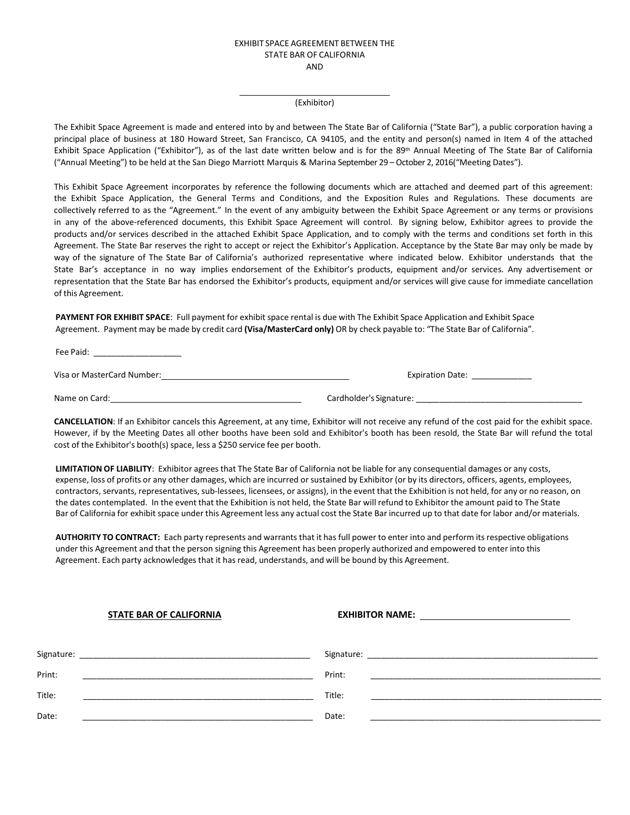#### EXHIBIT SPACE AGREEMENT BETWEEN THE STATE BAR OF CALIFORNIA AND

#### (Exhibitor)

The Exhibit Space Agreement is made and entered into by and between The State Bar of California ("State Bar"), a public corporation having a principal place of business at 180 Howard Street, San Francisco, CA 94105, and the entity and person(s) named in Item 4 of the attached Exhibit Space Application ("Exhibitor"), as of the last date written below and is for the 89<sup>th</sup> Annual Meeting of The State Bar of California ("Annual Meeting") to be held at the San Diego Marriott Marquis & Marina September 29 – October 2, 2016("Meeting Dates").

This Exhibit Space Agreement incorporates by reference the following documents which are attached and deemed part of this agreement: the Exhibit Space Application, the General Terms and Conditions, and the Exposition Rules and Regulations. These documents are collectively referred to as the "Agreement." In the event of any ambiguity between the Exhibit Space Agreement or any terms or provisions in any of the above-referenced documents, this Exhibit Space Agreement will control. By signing below, Exhibitor agrees to provide the products and/or services described in the attached Exhibit Space Application, and to comply with the terms and conditions set forth in this Agreement. The State Bar reserves the right to accept or reject the Exhibitor's Application. Acceptance by the State Bar may only be made by way of the signature of The State Bar of California's authorized representative where indicated below. Exhibitor understands that the State Bar's acceptance in no way implies endorsement of the Exhibitor's products, equipment and/or services. Any advertisement or representation that the State Bar has endorsed the Exhibitor's products, equipment and/or services will give cause for immediate cancellation of this Agreement.

**PAYMENT FOR EXHIBIT SPACE**: Full payment for exhibit space rental is due with The Exhibit Space Application and Exhibit Space Agreement. Payment may be made by credit card **(Visa/MasterCard only)** OR by check payable to: "The State Bar of California".

Fee Paid: \_\_\_\_\_\_\_\_\_\_\_\_\_\_\_\_\_\_\_

Visa or MasterCard Number: Expiration Date: \_\_\_\_\_\_\_\_\_\_\_\_\_

Name on Card: Cardholder's Signature: \_\_\_\_\_\_\_\_\_\_\_\_\_\_\_\_\_\_\_\_\_\_\_\_\_\_\_\_\_\_\_\_\_\_\_\_

**CANCELLATION**: If an Exhibitor cancels this Agreement, at any time, Exhibitor will not receive any refund of the cost paid for the exhibit space. However, if by the Meeting Dates all other booths have been sold and Exhibitor's booth has been resold, the State Bar will refund the total cost of the Exhibitor's booth(s) space, less a \$250 service fee per booth.

**LIMITATION OF LIABILITY**: Exhibitor agrees that The State Bar of California not be liable for any consequential damages or any costs, expense, loss of profits or any other damages, which are incurred or sustained by Exhibitor (or by its directors, officers, agents, employees, contractors, servants, representatives, sub-lessees, licensees, or assigns), in the event that the Exhibition is not held, for any or no reason, on the dates contemplated. In the event that the Exhibition is not held, the State Bar will refund to Exhibitor the amount paid to The State Bar of California for exhibit space under this Agreement less any actual cost the State Bar incurred up to that date for labor and/or materials.

**AUTHORITY TO CONTRACT:** Each party represents and warrants that it has full power to enter into and perform its respective obligations under this Agreement and that the person signing this Agreement has been properly authorized and empowered to enter into this Agreement. Each party acknowledgesthat it has read, understands, and will be bound by this Agreement.

# **STATE BAR OF CALIFORNIA EXHIBITOR NAME:**

| Signature: | Signature: |
|------------|------------|
| Print:     | Print:     |
| Title:     | Title:     |
| Date:      | Date:      |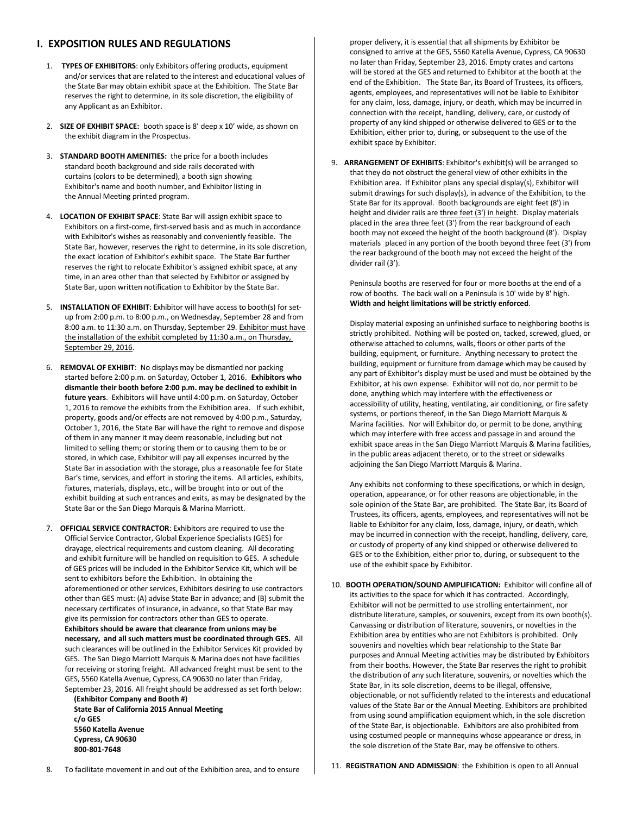### **I. EXPOSITION RULES AND REGULATIONS**

- 1. **TYPES OF EXHIBITORS**: only Exhibitors offering products, equipment and/or services that are related to the interest and educational values of the State Bar may obtain exhibit space at the Exhibition. The State Bar reserves the right to determine, in its sole discretion, the eligibility of any Applicant as an Exhibitor.
- 2. **SIZE OF EXHIBIT SPACE:** booth space is 8' deep x 10' wide, as shown on the exhibit diagram in the Prospectus.
- 3. **STANDARD BOOTH AMENITIES:** the price for a booth includes standard booth background and side rails decorated with curtains (colors to be determined), a booth sign showing Exhibitor's name and booth number, and Exhibitor listing in the Annual Meeting printed program.
- 4. **LOCATION OF EXHIBIT SPACE**: State Bar will assign exhibit space to Exhibitors on a first-come, first-served basis and as much in accordance with Exhibitor's wishes as reasonably and conveniently feasible. The State Bar, however, reserves the right to determine, in its sole discretion, the exact location of Exhibitor's exhibit space. The State Bar further reserves the right to relocate Exhibitor's assigned exhibit space, at any time, in an area other than that selected by Exhibitor or assigned by State Bar, upon written notification to Exhibitor by the State Bar.
- 5. **INSTALLATION OF EXHIBIT**: Exhibitor will have access to booth(s) for setup from 2:00 p.m. to 8:00 p.m., on Wednesday, September 28 and from 8:00 a.m. to 11:30 a.m. on Thursday, September 29. Exhibitor must have the installation of the exhibit completed by 11:30 a.m., on Thursday, September 29, 2016.
- 6. **REMOVAL OF EXHIBIT**: No displays may be dismantled nor packing started before 2:00 p.m. on Saturday, October 1, 2016. **Exhibitors who dismantle their booth before 2:00 p.m. may be declined to exhibit in future years**. Exhibitors will have until 4:00 p.m. on Saturday, October 1, 2016 to remove the exhibits from the Exhibition area. If such exhibit, property, goods and/or effects are not removed by 4:00 p.m., Saturday, October 1, 2016, the State Bar will have the right to remove and dispose of them in any manner it may deem reasonable, including but not limited to selling them; or storing them or to causing them to be or stored, in which case, Exhibitor will pay all expenses incurred by the State Bar in association with the storage, plus a reasonable fee for State Bar's time, services, and effort in storing the items. All articles, exhibits, fixtures, materials, displays, etc., will be brought into or out of the exhibit building at such entrances and exits, as may be designated by the State Bar or the San Diego Marquis & Marina Marriott.
- 7. **OFFICIAL SERVICE CONTRACTOR**: Exhibitors are required to use the Official Service Contractor, Global Experience Specialists (GES) for drayage, electrical requirements and custom cleaning. All decorating and exhibit furniture will be handled on requisition to GES. A schedule of GES prices will be included in the Exhibitor Service Kit, which will be sent to exhibitors before the Exhibition. In obtaining the aforementioned or other services, Exhibitors desiring to use contractors other than GES must: (A) advise State Bar in advance; and (B) submit the necessary certificates of insurance, in advance, so that State Bar may give its permission for contractors other than GES to operate. **Exhibitors should be aware that clearance from unions may be necessary, and all such matters must be coordinated through GES.** All such clearances will be outlined in the Exhibitor Services Kit provided by GES. The San Diego Marriott Marquis & Marina does not have facilities for receiving or storing freight. All advanced freight must be sent to the GES, 5560 Katella Avenue, Cypress, CA 90630 no later than Friday, September 23, 2016. All freight should be addressed as set forth below:

**(Exhibitor Company and Booth #) State Bar of California 2015 Annual Meeting c/o GES 5560 Katella Avenue Cypress, CA 90630 800-801-7648**

proper delivery, it is essential that all shipments by Exhibitor be consigned to arrive at the GES, 5560 Katella Avenue, Cypress, CA 90630 no later than Friday, September 23, 2016. Empty crates and cartons will be stored at the GES and returned to Exhibitor at the booth at the end of the Exhibition. The State Bar, its Board of Trustees, its officers, agents, employees, and representatives will not be liable to Exhibitor for any claim, loss, damage, injury, or death, which may be incurred in connection with the receipt, handling, delivery, care, or custody of property of any kind shipped or otherwise delivered to GES or to the Exhibition, either prior to, during, or subsequent to the use of the exhibit space by Exhibitor.

9. **ARRANGEMENT OF EXHIBITS**: Exhibitor's exhibit(s) will be arranged so that they do not obstruct the general view of other exhibits in the Exhibition area. If Exhibitor plans any special display(s), Exhibitor will submit drawings for such display(s), in advance of the Exhibition, to the State Bar for its approval. Booth backgrounds are eight feet (8') in height and divider rails are three feet (3') in height. Display materials placed in the area three feet (3') from the rear background of each booth may not exceed the height of the booth background (8'). Display materials placed in any portion of the booth beyond three feet (3') from the rear background of the booth may not exceed the height of the divider rail (3').

Peninsula booths are reserved for four or more booths at the end of a row of booths. The back wall on a Peninsula is 10' wide by 8' high. **Width and height limitations will be strictly enforced**.

Display material exposing an unfinished surface to neighboring booths is strictly prohibited. Nothing will be posted on, tacked, screwed, glued, or otherwise attached to columns, walls, floors or other parts of the building, equipment, or furniture. Anything necessary to protect the building, equipment or furniture from damage which may be caused by any part of Exhibitor's display must be used and must be obtained by the Exhibitor, at his own expense. Exhibitor will not do, nor permit to be done, anything which may interfere with the effectiveness or accessibility of utility, heating, ventilating, air conditioning, or fire safety systems, or portions thereof, in the San Diego Marriott Marquis & Marina facilities. Nor will Exhibitor do, or permit to be done, anything which may interfere with free access and passage in and around the exhibit space areas in the San Diego Marriott Marquis & Marina facilities, in the public areas adjacent thereto, or to the street or sidewalks adjoining the San Diego Marriott Marquis & Marina.

Any exhibits not conforming to these specifications, or which in design, operation, appearance, or for other reasons are objectionable, in the sole opinion of the State Bar, are prohibited. The State Bar, its Board of Trustees, its officers, agents, employees, and representatives will not be liable to Exhibitor for any claim, loss, damage, injury, or death, which may be incurred in connection with the receipt, handling, delivery, care, or custody of property of any kind shipped or otherwise delivered to GES or to the Exhibition, either prior to, during, or subsequent to the use of the exhibit space by Exhibitor.

10. **BOOTH OPERATION/SOUND AMPLIFICATION:** Exhibitor will confine all of its activities to the space for which it has contracted. Accordingly, Exhibitor will not be permitted to use strolling entertainment, nor distribute literature, samples, or souvenirs, except from its own booth(s). Canvassing or distribution of literature, souvenirs, or novelties in the Exhibition area by entities who are not Exhibitors is prohibited. Only souvenirs and novelties which bear relationship to the State Bar purposes and Annual Meeting activities may be distributed by Exhibitors from their booths. However, the State Bar reserves the right to prohibit the distribution of any such literature, souvenirs, or novelties which the State Bar, in its sole discretion, deems to be illegal, offensive, objectionable, or not sufficiently related to the interests and educational values of the State Bar or the Annual Meeting. Exhibitors are prohibited from using sound amplification equipment which, in the sole discretion of the State Bar, is objectionable. Exhibitors are also prohibited from using costumed people or mannequins whose appearance or dress, in the sole discretion of the State Bar, may be offensive to others.

8. To facilitate movement in and out of the Exhibition area, and to ensure

11. **REGISTRATION AND ADMISSION**: the Exhibition is open to all Annual